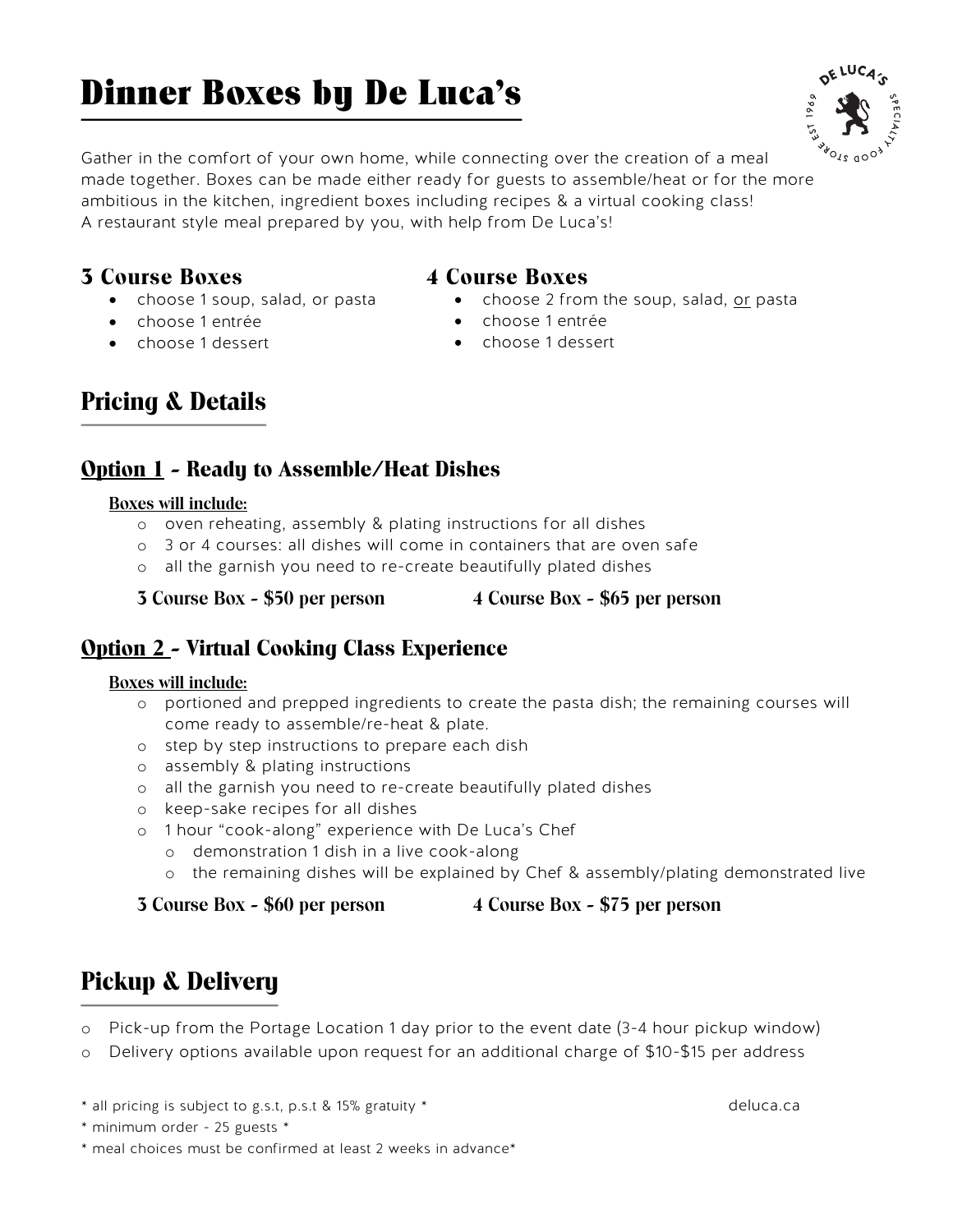## Dinner Boxes by De Luca's

Gather in the comfort of your own home, while connecting over the creation of a meal made together. Boxes can be made either ready for guests to assemble/heat or for the more ambitious in the kitchen, ingredient boxes including recipes & a virtual cooking class! A restaurant style meal prepared by you, with help from De Luca's!

### **3 Course Boxes**

- choose 1 soup, salad, or pasta
- choose 1 entrée
- choose 1 dessert

#### **4 Course Boxes**

- choose 2 from the soup, salad, or pasta
- choose 1 entrée
- choose 1 dessert

## **Pricing & Details**

## **Option 1 - Ready to Assemble/Heat Dishes**

#### **Boxes will include:**

- o oven reheating, assembly & plating instructions for all dishes
- o 3 or 4 courses: all dishes will come in containers that are oven safe
- o all the garnish you need to re-create beautifully plated dishes

**3 Course Box - \$50 per person 4 Course Box - \$65 per person**

### **Option 2 - Virtual Cooking Class Experience**

#### **Boxes will include:**

- o portioned and prepped ingredients to create the pasta dish; the remaining courses will come ready to assemble/re-heat & plate.
- o step by step instructions to prepare each dish
- o assembly & plating instructions
- o all the garnish you need to re-create beautifully plated dishes
- o keep-sake recipes for all dishes
- o 1 hour "cook-along" experience with De Luca's Chef
	- o demonstration 1 dish in a live cook-along
	- o the remaining dishes will be explained by Chef & assembly/plating demonstrated live

#### **3 Course Box - \$60 per person 4 Course Box - \$75 per person**

## **Pickup & Delivery**

- o Pick-up from the Portage Location 1 day prior to the event date (3-4 hour pickup window)
- o Delivery options available upon request for an additional charge of \$10-\$15 per address

\* all pricing is subject to g.s.t, p.s.t & 15% gratuity \* deluca.ca

\* meal choices must be confirmed at least 2 weeks in advance\*



<sup>\*</sup> minimum order - 25 guests \*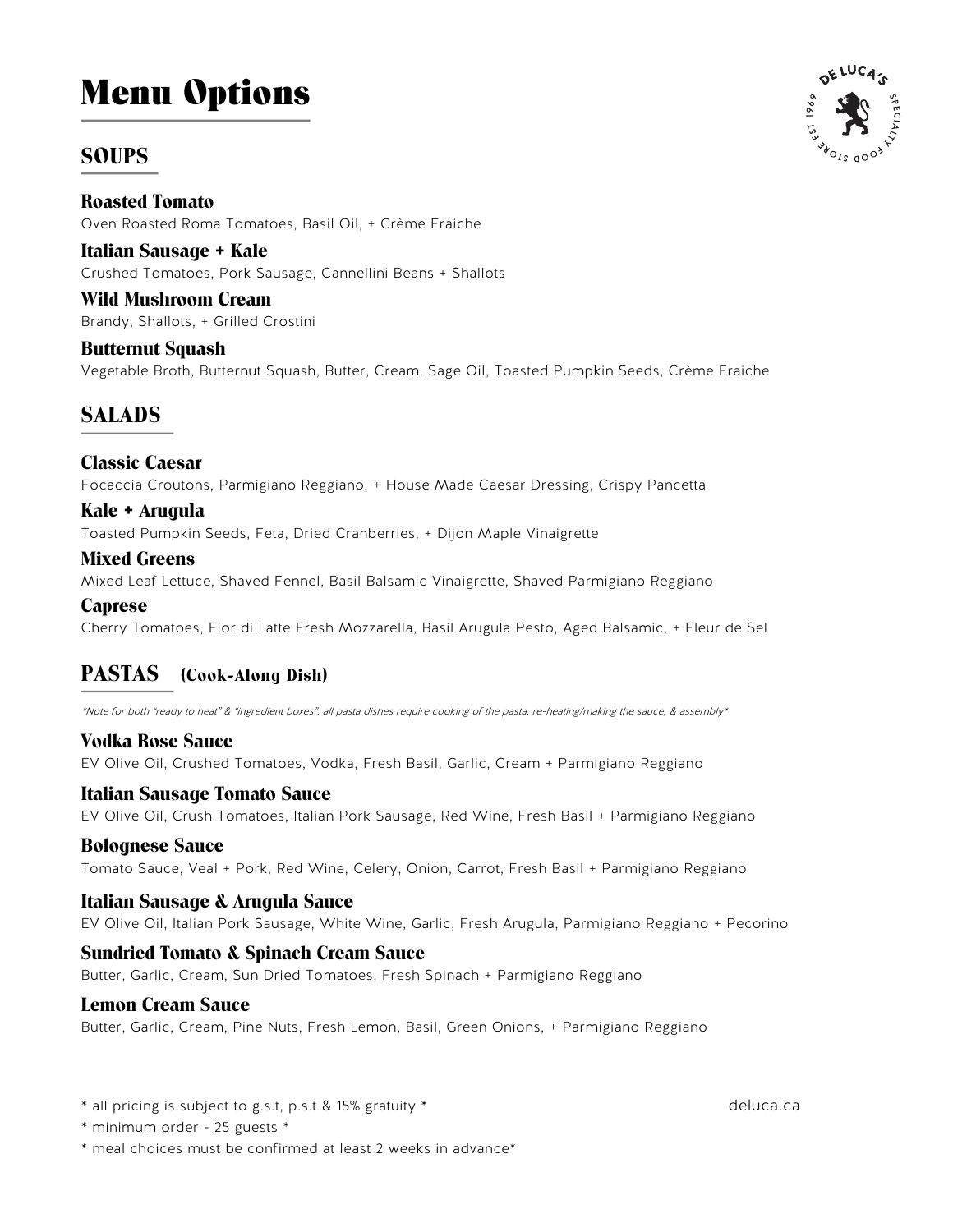# Menu Options

## **SOUPS**

**Roasted Tomato** Oven Roasted Roma Tomatoes, Basil Oil, + Crème Fraiche

**Italian Sausage + Kale** Crushed Tomatoes, Pork Sausage, Cannellini Beans + Shallots

**Wild Mushroom Cream** Brandy, Shallots, + Grilled Crostini

**Butternut Squash** Vegetable Broth, Butternut Squash, Butter, Cream, Sage Oil, Toasted Pumpkin Seeds, Crème Fraiche

## **SALADS**

**Classic Caesar** Focaccia Croutons, Parmigiano Reggiano, + House Made Caesar Dressing, Crispy Pancetta

**Kale + Arugula** Toasted Pumpkin Seeds, Feta, Dried Cranberries, + Dijon Maple Vinaigrette

**Mixed Greens** Mixed Leaf Lettuce, Shaved Fennel, Basil Balsamic Vinaigrette, Shaved Parmigiano Reggiano

#### **Caprese**

Cherry Tomatoes, Fior di Latte Fresh Mozzarella, Basil Arugula Pesto, Aged Balsamic, + Fleur de Sel

#### **PASTAS (Cook-Along Dish)**

\*Note for both "ready to heat" & "ingredient boxes": all pasta dishes require cooking of the pasta, re-heating/making the sauce, & assembly\*

**Vodka Rose Sauce** EV Olive Oil, Crushed Tomatoes, Vodka, Fresh Basil, Garlic, Cream + Parmigiano Reggiano

#### **Italian Sausage Tomato Sauce**

EV Olive Oil, Crush Tomatoes, Italian Pork Sausage, Red Wine, Fresh Basil + Parmigiano Reggiano

#### **Bolognese Sauce**

Tomato Sauce, Veal + Pork, Red Wine, Celery, Onion, Carrot, Fresh Basil + Parmigiano Reggiano

#### **Italian Sausage & Arugula Sauce**

EV Olive Oil, Italian Pork Sausage, White Wine, Garlic, Fresh Arugula, Parmigiano Reggiano + Pecorino

#### **Sundried Tomato & Spinach Cream Sauce**

Butter, Garlic, Cream, Sun Dried Tomatoes, Fresh Spinach + Parmigiano Reggiano

#### **Lemon Cream Sauce**

Butter, Garlic, Cream, Pine Nuts, Fresh Lemon, Basil, Green Onions, + Parmigiano Reggiano

\* all pricing is subject to g.s.t, p.s.t & 15% gratuity \* deluca.ca

\* minimum order - 25 guests \*

\* meal choices must be confirmed at least 2 weeks in advance\*